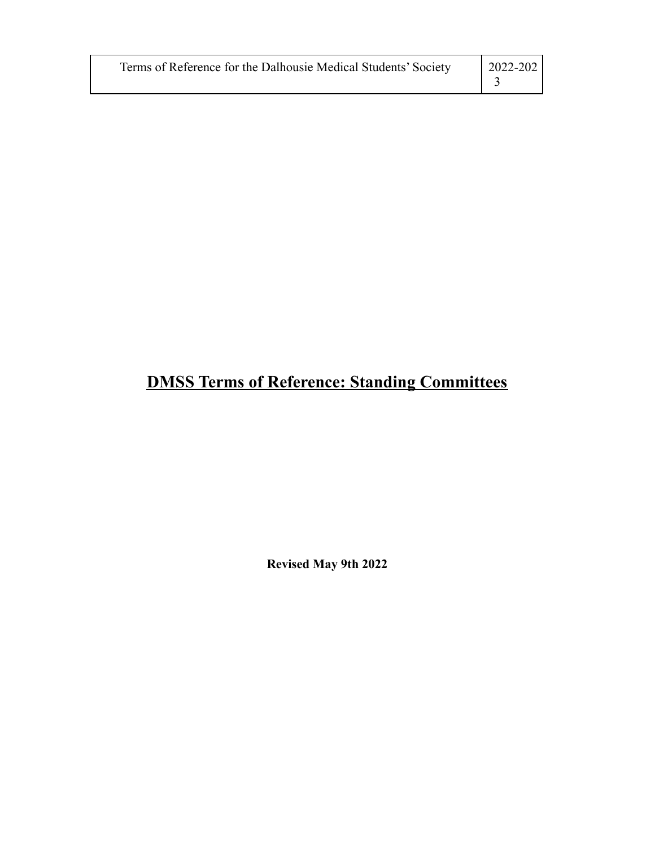| Terms of Reference for the Dalhousie Medical Students' Society | $2022 - 202$ |
|----------------------------------------------------------------|--------------|
|----------------------------------------------------------------|--------------|

# **DMSS Terms of Reference: Standing Committees**

**Revised May 9th 2022**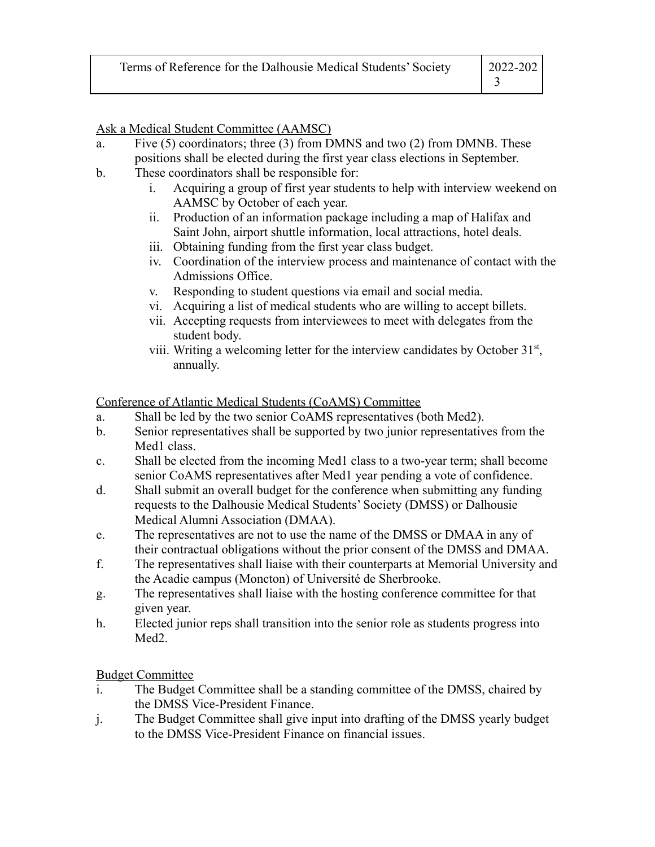| Terms of Reference for the Dalhousie Medical Students' Society | 2022-202 |
|----------------------------------------------------------------|----------|
|                                                                |          |

Ask a Medical Student Committee (AAMSC)

- a. Five  $(5)$  coordinators; three  $(3)$  from DMNS and two  $(2)$  from DMNB. These positions shall be elected during the first year class elections in September.
- b. These coordinators shall be responsible for:
	- i. Acquiring a group of first year students to help with interview weekend on AAMSC by October of each year.
	- ii. Production of an information package including a map of Halifax and Saint John, airport shuttle information, local attractions, hotel deals.
	- iii. Obtaining funding from the first year class budget.
	- iv. Coordination of the interview process and maintenance of contact with the Admissions Office.
	- v. Responding to student questions via email and social media.
	- vi. Acquiring a list of medical students who are willing to accept billets.
	- vii. Accepting requests from interviewees to meet with delegates from the student body.
	- viii. Writing a welcoming letter for the interview candidates by October  $31<sup>st</sup>$ , annually.

Conference of Atlantic Medical Students (CoAMS) Committee

- a. Shall be led by the two senior CoAMS representatives (both Med2).
- b. Senior representatives shall be supported by two junior representatives from the Med<sub>1</sub> class.
- c. Shall be elected from the incoming Med1 class to a two-year term; shall become senior CoAMS representatives after Med1 year pending a vote of confidence.
- d. Shall submit an overall budget for the conference when submitting any funding requests to the Dalhousie Medical Students' Society (DMSS) or Dalhousie Medical Alumni Association (DMAA).
- e. The representatives are not to use the name of the DMSS or DMAA in any of their contractual obligations without the prior consent of the DMSS and DMAA.
- f. The representatives shall liaise with their counterparts at Memorial University and the Acadie campus (Moncton) of Université de Sherbrooke.
- g. The representatives shall liaise with the hosting conference committee for that given year.
- h. Elected junior reps shall transition into the senior role as students progress into Med<sub>2</sub>.

Budget Committee

- i. The Budget Committee shall be a standing committee of the DMSS, chaired by the DMSS Vice-President Finance.
- j. The Budget Committee shall give input into drafting of the DMSS yearly budget to the DMSS Vice-President Finance on financial issues.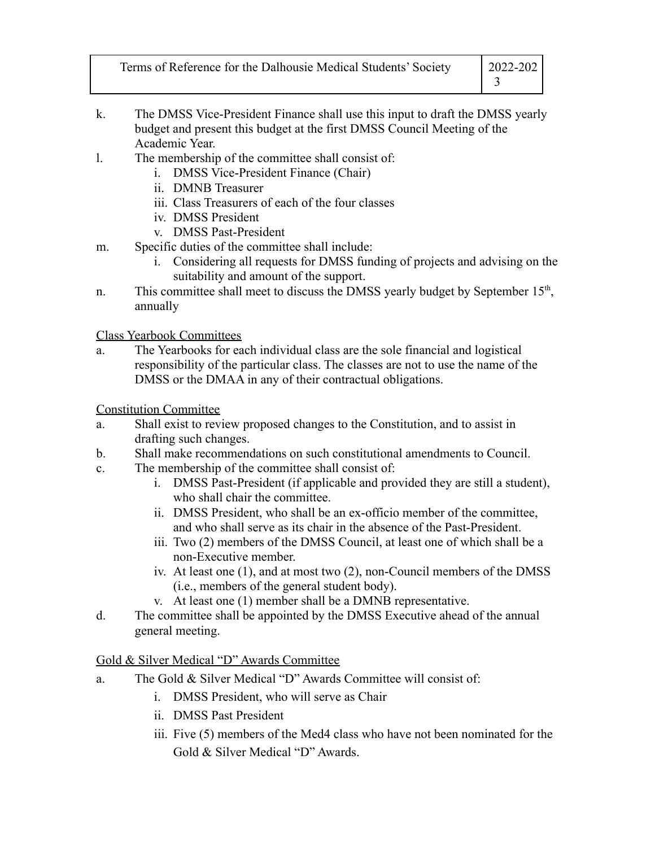| Terms of Reference for the Dalhousie Medical Students' Society | $ 2022 - 202 $ |  |
|----------------------------------------------------------------|----------------|--|
|                                                                |                |  |

- k. The DMSS Vice-President Finance shall use this input to draft the DMSS yearly budget and present this budget at the first DMSS Council Meeting of the Academic Year.
- l. The membership of the committee shall consist of:
	- i. DMSS Vice-President Finance (Chair)
	- ii. DMNB Treasurer
	- iii. Class Treasurers of each of the four classes
	- iv. DMSS President
	- v. DMSS Past-President
- m. Specific duties of the committee shall include:
	- i. Considering all requests for DMSS funding of projects and advising on the suitability and amount of the support.
- n. This committee shall meet to discuss the DMSS yearly budget by September 15<sup>th</sup>, annually

Class Yearbook Committees

a. The Yearbooks for each individual class are the sole financial and logistical responsibility of the particular class. The classes are not to use the name of the DMSS or the DMAA in any of their contractual obligations.

Constitution Committee

- a. Shall exist to review proposed changes to the Constitution, and to assist in drafting such changes.
- b. Shall make recommendations on such constitutional amendments to Council.
- c. The membership of the committee shall consist of:
	- i. DMSS Past-President (if applicable and provided they are still a student), who shall chair the committee.
	- ii. DMSS President, who shall be an ex-officio member of the committee, and who shall serve as its chair in the absence of the Past-President.
	- iii. Two (2) members of the DMSS Council, at least one of which shall be a non-Executive member.
	- iv. At least one (1), and at most two (2), non-Council members of the DMSS (i.e., members of the general student body).
	- v. At least one (1) member shall be a DMNB representative.
- d. The committee shall be appointed by the DMSS Executive ahead of the annual general meeting.

#### Gold & Silver Medical "D" Awards Committee

- a. The Gold & Silver Medical "D" Awards Committee will consist of:
	- i. DMSS President, who will serve as Chair
	- ii. DMSS Past President
	- iii. Five (5) members of the Med4 class who have not been nominated for the Gold & Silver Medical "D" Awards.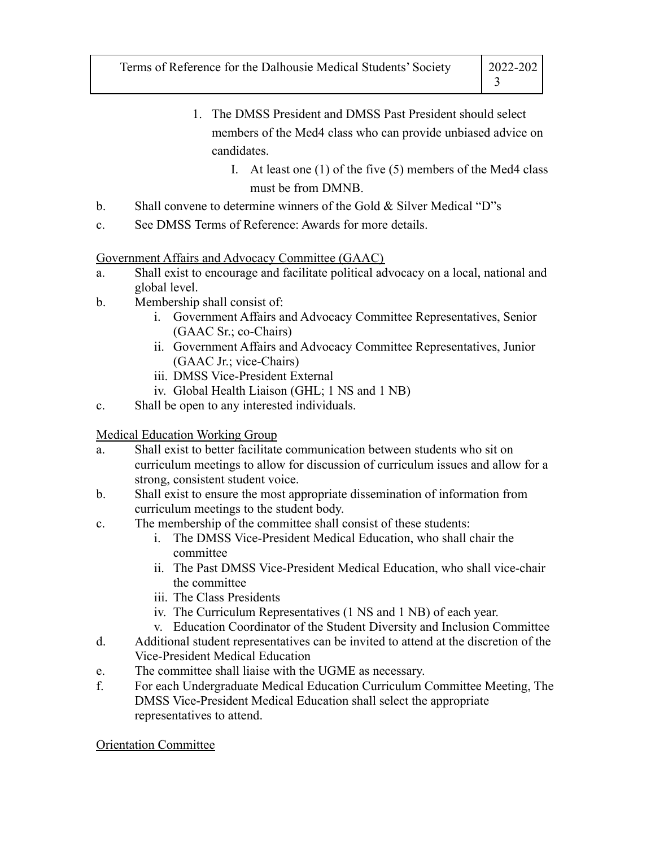- 1. The DMSS President and DMSS Past President should select members of the Med4 class who can provide unbiased advice on candidates.
	- I. At least one (1) of the five (5) members of the Med4 class must be from DMNB.
- b. Shall convene to determine winners of the Gold & Silver Medical "D"s
- c. See DMSS Terms of Reference: Awards for more details.

### Government Affairs and Advocacy Committee (GAAC)

- a. Shall exist to encourage and facilitate political advocacy on a local, national and global level.
- b. Membership shall consist of:
	- i. Government Affairs and Advocacy Committee Representatives, Senior (GAAC Sr.; co-Chairs)
	- ii. Government Affairs and Advocacy Committee Representatives, Junior (GAAC Jr.; vice-Chairs)
	- iii. DMSS Vice-President External
	- iv. Global Health Liaison (GHL; 1 NS and 1 NB)
- c. Shall be open to any interested individuals.

## Medical Education Working Group

- a. Shall exist to better facilitate communication between students who sit on curriculum meetings to allow for discussion of curriculum issues and allow for a strong, consistent student voice.
- b. Shall exist to ensure the most appropriate dissemination of information from curriculum meetings to the student body.
- c. The membership of the committee shall consist of these students:
	- i. The DMSS Vice-President Medical Education, who shall chair the committee
	- ii. The Past DMSS Vice-President Medical Education, who shall vice-chair the committee
	- iii. The Class Presidents
	- iv. The Curriculum Representatives (1 NS and 1 NB) of each year.
	- v. Education Coordinator of the Student Diversity and Inclusion Committee
- d. Additional student representatives can be invited to attend at the discretion of the Vice-President Medical Education
- e. The committee shall liaise with the UGME as necessary.
- f. For each Undergraduate Medical Education Curriculum Committee Meeting, The DMSS Vice-President Medical Education shall select the appropriate representatives to attend.

## Orientation Committee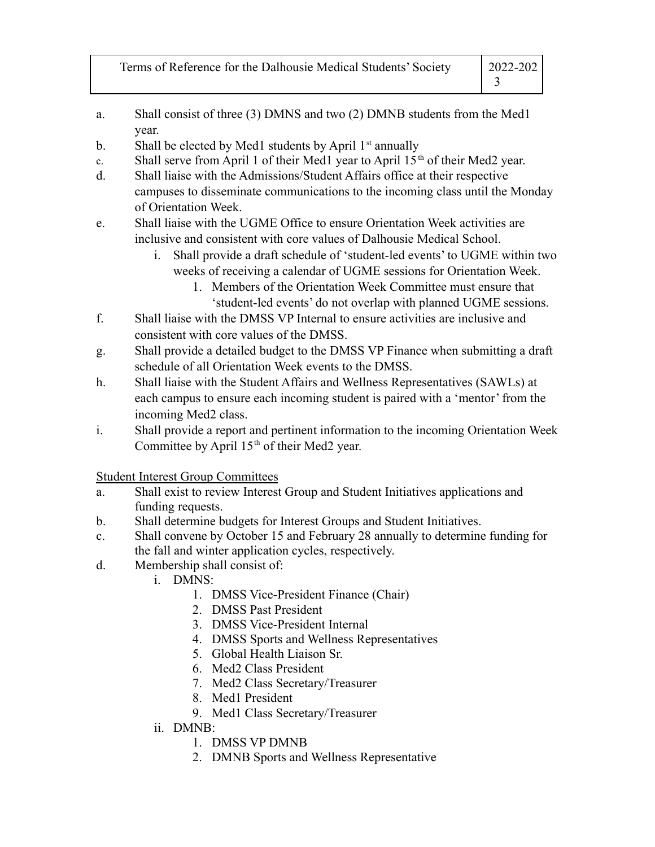| Terms of Reference for the Dalhousie Medical Students' Society | 2022-202 |
|----------------------------------------------------------------|----------|
|                                                                |          |

- a. Shall consist of three (3) DMNS and two (2) DMNB students from the Med1 year.
- b. Shall be elected by Med1 students by April  $1<sup>st</sup>$  annually
- c. Shall serve from April 1 of their Med1 year to April  $15<sup>th</sup>$  of their Med2 year.
- d. Shall liaise with the Admissions/Student Affairs office at their respective campuses to disseminate communications to the incoming class until the Monday of Orientation Week.
- e. Shall liaise with the UGME Office to ensure Orientation Week activities are inclusive and consistent with core values of Dalhousie Medical School.
	- i. Shall provide a draft schedule of 'student-led events' to UGME within two weeks of receiving a calendar of UGME sessions for Orientation Week.
		- 1. Members of the Orientation Week Committee must ensure that 'student-led events' do not overlap with planned UGME sessions.
- f. Shall liaise with the DMSS VP Internal to ensure activities are inclusive and consistent with core values of the DMSS.
- g. Shall provide a detailed budget to the DMSS VP Finance when submitting a draft schedule of all Orientation Week events to the DMSS.
- h. Shall liaise with the Student Affairs and Wellness Representatives (SAWLs) at each campus to ensure each incoming student is paired with a 'mentor' from the incoming Med2 class.
- i. Shall provide a report and pertinent information to the incoming Orientation Week Committee by April  $15<sup>th</sup>$  of their Med2 year.

Student Interest Group Committees

- a. Shall exist to review Interest Group and Student Initiatives applications and funding requests.
- b. Shall determine budgets for Interest Groups and Student Initiatives.
- c. Shall convene by October 15 and February 28 annually to determine funding for the fall and winter application cycles, respectively.
- d. Membership shall consist of:
	- i. DMNS:
		- 1. DMSS Vice-President Finance (Chair)
		- 2. DMSS Past President
		- 3. DMSS Vice-President Internal
		- 4. DMSS Sports and Wellness Representatives
		- 5. Global Health Liaison Sr.
		- 6. Med2 Class President
		- 7. Med2 Class Secretary/Treasurer
		- 8. Med1 President
		- 9. Med1 Class Secretary/Treasurer
	- ii. DMNB:
		- 1. DMSS VP DMNB
		- 2. DMNB Sports and Wellness Representative